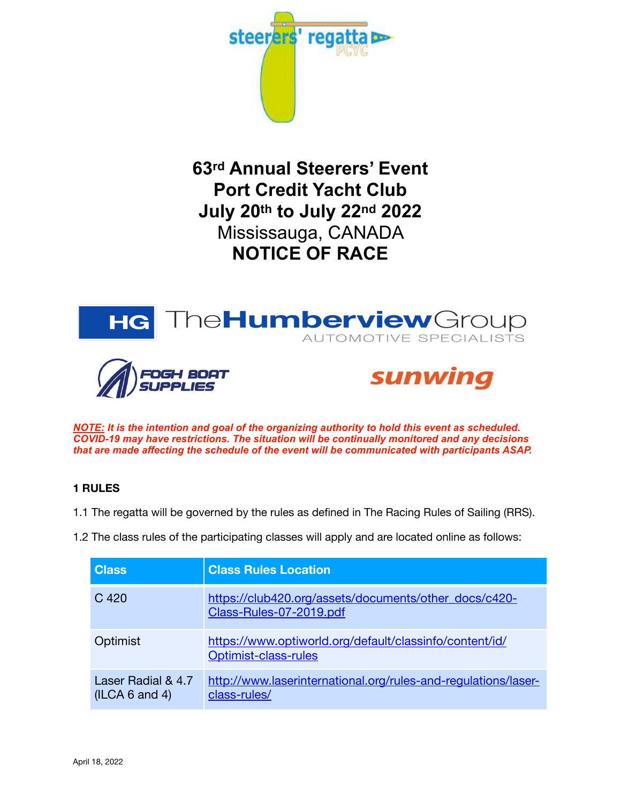

**63rd Annual Steerers' Event Port Credit Yacht Club July 20th to July 22nd 2022** Mississauga, CANADA **NOTICE OF RACE**



*NOTE: It is the intention and goal of the organizing authority to hold this event as scheduled. COVID-19 may have restrictions. The situation will be continually monitored and any decisions that are made affecting the schedule of the event will be communicated with participants ASAP.*

# **1 RULES**

1.1 The regatta will be governed by the rules as defined in The Racing Rules of Sailing (RRS).

1.2 The class rules of the participating classes will apply and are located online as follows:

| <b>Class</b>                         | <b>Class Rules Location</b>                                                      |
|--------------------------------------|----------------------------------------------------------------------------------|
| C 420                                | https://club420.org/assets/documents/other_docs/c420-<br>Class-Rules-07-2019.pdf |
| Optimist                             | https://www.optiworld.org/default/classinfo/content/id/<br>Optimist-class-rules  |
| Laser Radial & 4.7<br>(ILCA 6 and 4) | http://www.laserinternational.org/rules-and-regulations/laser-<br>class-rules/   |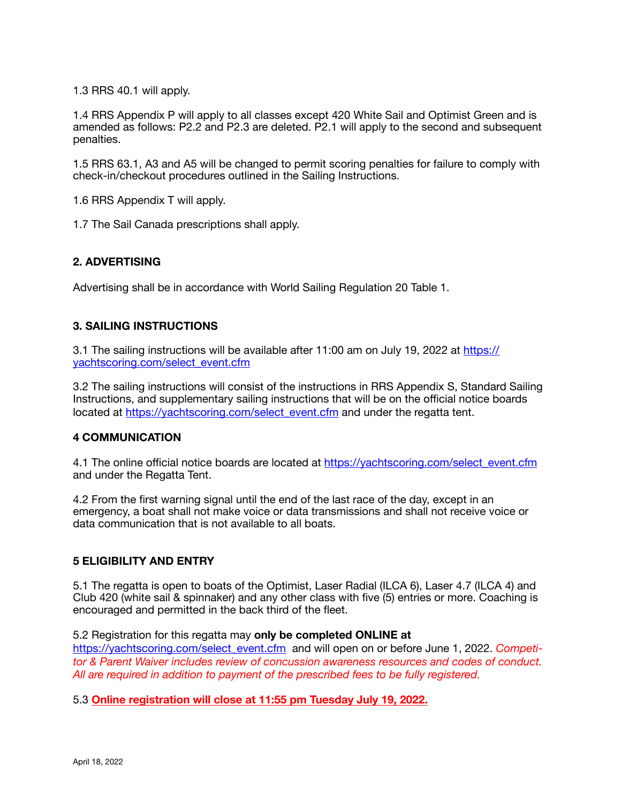1.3 RRS 40.1 will apply.

1.4 RRS Appendix P will apply to all classes except 420 White Sail and Optimist Green and is amended as follows: P2.2 and P2.3 are deleted. P2.1 will apply to the second and subsequent penalties.

1.5 RRS 63.1, A3 and A5 will be changed to permit scoring penalties for failure to comply with check-in/checkout procedures outlined in the Sailing Instructions.

1.6 RRS Appendix T will apply.

1.7 The Sail Canada prescriptions shall apply.

# **2. ADVERTISING**

Advertising shall be in accordance with World Sailing Regulation 20 Table 1.

#### **3. SAILING INSTRUCTIONS**

3.1 The sailing instructions will be available after 11:00 am on July 19, 2022 at [https://](https://yachtscoring.com/select_event.cfm) [yachtscoring.com/select\\_event.cfm](https://yachtscoring.com/select_event.cfm)

3.2 The sailing instructions will consist of the instructions in RRS Appendix S, Standard Sailing Instructions, and supplementary sailing instructions that will be on the official notice boards located at [https://yachtscoring.com/select\\_event.cfm](https://yachtscoring.com/select_event.cfm) and under the regatta tent.

#### **4 COMMUNICATION**

4.1 The online official notice boards are located at [https://yachtscoring.com/select\\_event.cfm](https://yachtscoring.com/select_event.cfm) and under the Regatta Tent.

4.2 From the first warning signal until the end of the last race of the day, except in an emergency, a boat shall not make voice or data transmissions and shall not receive voice or data communication that is not available to all boats.

# **5 ELIGIBILITY AND ENTRY**

5.1 The regatta is open to boats of the Optimist, Laser Radial (ILCA 6), Laser 4.7 (ILCA 4) and Club 420 (white sail & spinnaker) and any other class with five (5) entries or more. Coaching is encouraged and permitted in the back third of the fleet.

#### 5.2 Registration for this regatta may **only be completed ONLINE at**

[https://yachtscoring.com/select\\_event.cfm](https://yachtscoring.com/select_event.cfm) and will open on or before June 1, 2022. *Competitor & Parent Waiver includes review of concussion awareness resources and codes of conduct. All are required in addition to payment of the prescribed fees to be fully registered.* 

5.3 **Online registration will close at 11:55 pm Tuesday July 19, 2022.**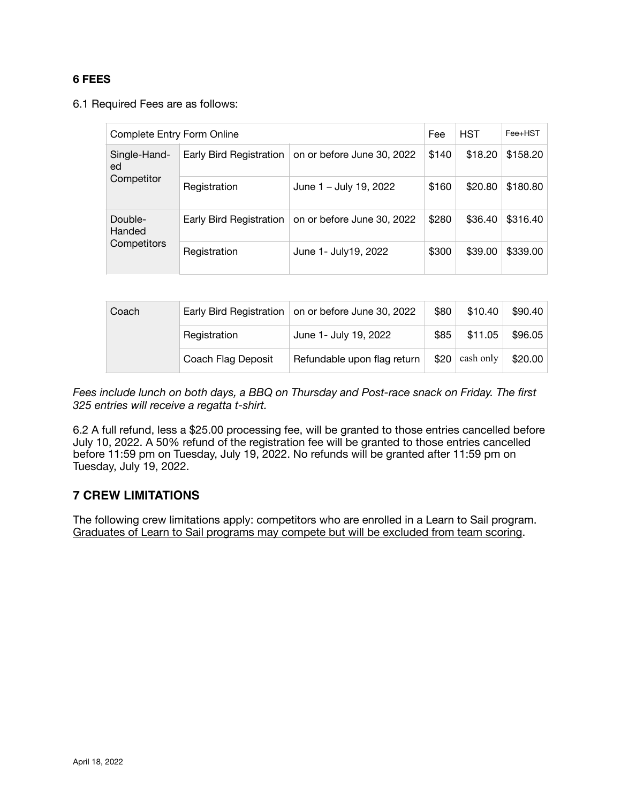#### **6 FEES**

6.1 Required Fees are as follows:

| Complete Entry Form Online       |                         |                            | Fee   | <b>HST</b> | $Fee+HST$ |
|----------------------------------|-------------------------|----------------------------|-------|------------|-----------|
| Single-Hand-<br>ed<br>Competitor | Early Bird Registration | on or before June 30, 2022 | \$140 | \$18.20    | \$158.20  |
|                                  | Registration            | June 1 - July 19, 2022     | \$160 | \$20.80    | \$180.80  |
| Double-<br>Handed<br>Competitors | Early Bird Registration | on or before June 30, 2022 | \$280 | \$36.40    | \$316.40  |
|                                  | Registration            | June 1- July 19, 2022      | \$300 | \$39.00    | \$339.00  |

| Coach |                    | Early Bird Registration on or before June 30, 2022 | \$80 | \$10.40   | \$90.40 |
|-------|--------------------|----------------------------------------------------|------|-----------|---------|
|       | Registration       | June 1- July 19, 2022                              | \$85 | \$11.05   | \$96.05 |
|       | Coach Flag Deposit | Refundable upon flag return                        | \$20 | cash only | \$20.00 |

*Fees include lunch on both days, a BBQ on Thursday and Post-race snack on Friday. The first 325 entries will receive a regatta t-shirt.* 

6.2 A full refund, less a \$25.00 processing fee, will be granted to those entries cancelled before July 10, 2022. A 50% refund of the registration fee will be granted to those entries cancelled before 11:59 pm on Tuesday, July 19, 2022. No refunds will be granted after 11:59 pm on Tuesday, July 19, 2022.

# **7 CREW LIMITATIONS**

The following crew limitations apply: competitors who are enrolled in a Learn to Sail program. Graduates of Learn to Sail programs may compete but will be excluded from team scoring.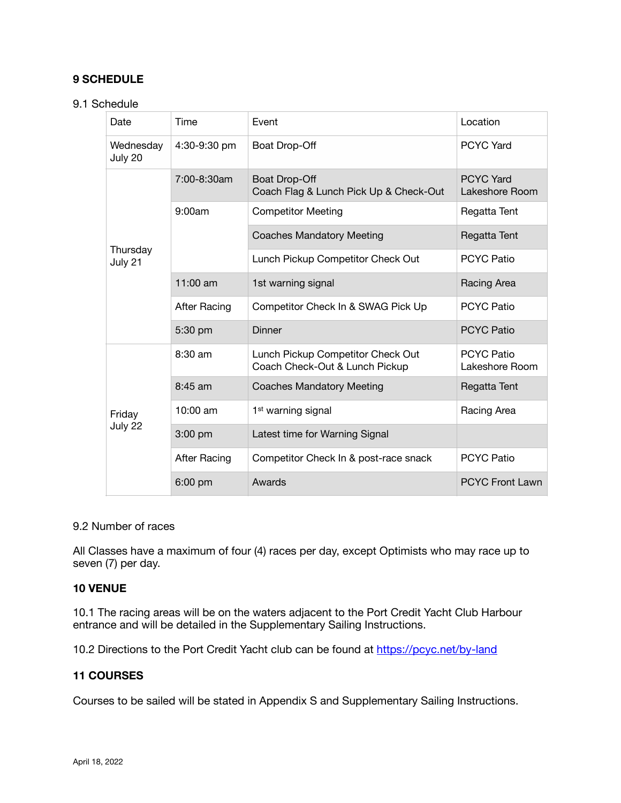# **9 SCHEDULE**

#### 9.1 Schedule

| Date                 | Time         | Event                                                               | Location                            |
|----------------------|--------------|---------------------------------------------------------------------|-------------------------------------|
| Wednesday<br>July 20 | 4:30-9:30 pm | Boat Drop-Off                                                       | <b>PCYC Yard</b>                    |
| Thursday<br>July 21  | 7:00-8:30am  | Boat Drop-Off<br>Coach Flag & Lunch Pick Up & Check-Out             | <b>PCYC Yard</b><br>Lakeshore Room  |
|                      | 9:00am       | <b>Competitor Meeting</b>                                           | Regatta Tent                        |
|                      |              | <b>Coaches Mandatory Meeting</b>                                    | Regatta Tent                        |
|                      |              | Lunch Pickup Competitor Check Out                                   | <b>PCYC Patio</b>                   |
|                      | $11:00$ am   | 1st warning signal                                                  | Racing Area                         |
|                      | After Racing | Competitor Check In & SWAG Pick Up                                  | <b>PCYC Patio</b>                   |
|                      | 5:30 pm      | Dinner                                                              | <b>PCYC Patio</b>                   |
| Friday<br>July 22    | 8:30 am      | Lunch Pickup Competitor Check Out<br>Coach Check-Out & Lunch Pickup | <b>PCYC Patio</b><br>Lakeshore Room |
|                      | 8:45 am      | <b>Coaches Mandatory Meeting</b>                                    | Regatta Tent                        |
|                      | 10:00 am     | 1 <sup>st</sup> warning signal                                      | Racing Area                         |
|                      | $3:00$ pm    | Latest time for Warning Signal                                      |                                     |
|                      | After Racing | Competitor Check In & post-race snack                               | <b>PCYC Patio</b>                   |
|                      | $6:00$ pm    | Awards                                                              | <b>PCYC Front Lawn</b>              |

#### 9.2 Number of races

All Classes have a maximum of four (4) races per day, except Optimists who may race up to seven (7) per day.

#### **10 VENUE**

10.1 The racing areas will be on the waters adjacent to the Port Credit Yacht Club Harbour entrance and will be detailed in the Supplementary Sailing Instructions.

10.2 Directions to the Port Credit Yacht club can be found at <https://pcyc.net/by-land>

#### **11 COURSES**

Courses to be sailed will be stated in Appendix S and Supplementary Sailing Instructions.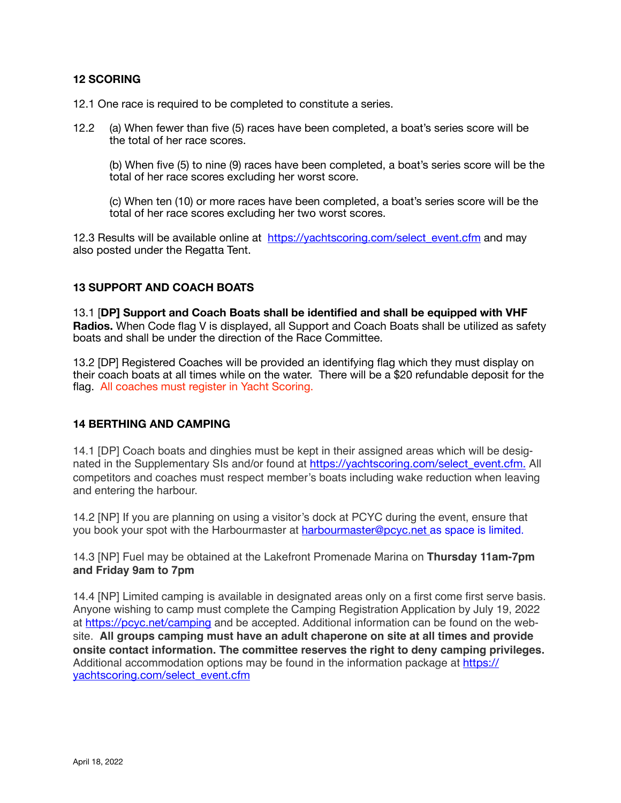#### **12 SCORING**

- 12.1 One race is required to be completed to constitute a series.
- 12.2 (a) When fewer than five (5) races have been completed, a boat's series score will be the total of her race scores.

(b) When five (5) to nine (9) races have been completed, a boat's series score will be the total of her race scores excluding her worst score.

(c) When ten (10) or more races have been completed, a boat's series score will be the total of her race scores excluding her two worst scores.

12.3 Results will be available online at https://yachtscoring.com/select event.cfm and may also posted under the Regatta Tent.

# **13 SUPPORT AND COACH BOATS**

13.1 [**DP] Support and Coach Boats shall be identified and shall be equipped with VHF Radios.** When Code flag V is displayed, all Support and Coach Boats shall be utilized as safety boats and shall be under the direction of the Race Committee.

13.2 [DP] Registered Coaches will be provided an identifying flag which they must display on their coach boats at all times while on the water. There will be a \$20 refundable deposit for the flag. All coaches must register in Yacht Scoring.

#### **14 BERTHING AND CAMPING**

14.1 [DP] Coach boats and dinghies must be kept in their assigned areas which will be designated in the Supplementary SIs and/or found at [https://yachtscoring.com/select\\_event.cfm.](https://yachtscoring.com/select_event.cfm) All competitors and coaches must respect member's boats including wake reduction when leaving and entering the harbour.

14.2 [NP] If you are planning on using a visitor's dock at PCYC during the event, ensure that you book your spot with the Harbourmaster at [harbourmaster@pcyc.net](mailto:harbourmaster@pcyc.net) as space is limited.

14.3 [NP] Fuel may be obtained at the Lakefront Promenade Marina on **Thursday 11am-7pm and Friday 9am to 7pm**

14.4 [NP] Limited camping is available in designated areas only on a first come first serve basis. Anyone wishing to camp must complete the Camping Registration Application by July 19, 2022 at <https://pcyc.net/camping> and be accepted. Additional information can be found on the website. **All groups camping must have an adult chaperone on site at all times and provide onsite contact information. The committee reserves the right to deny camping privileges.**  Additional accommodation options may be found in the information package at [https://](https://yachtscoring.com/select_event.cfm) [yachtscoring.com/select\\_event.cfm](https://yachtscoring.com/select_event.cfm)